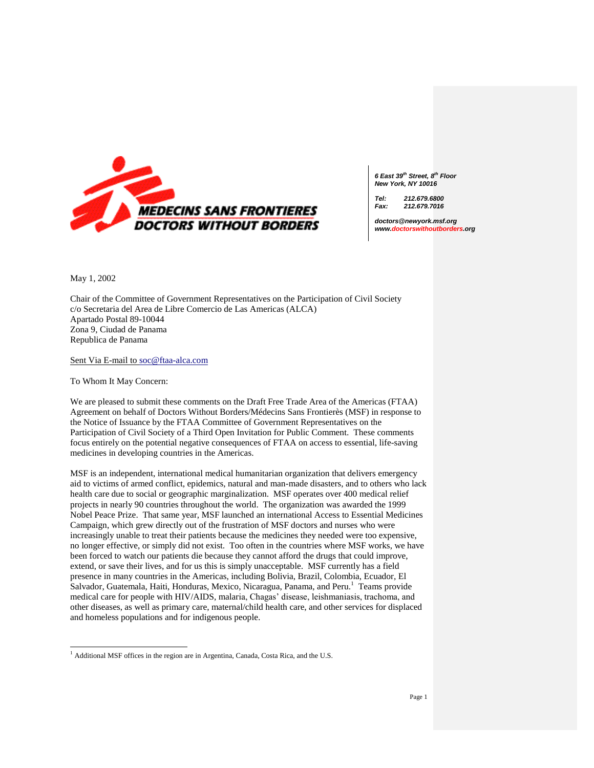

*6 East 39th Street, 8th Floor New York, NY 10016*

*Tel: 212.679.6800 Fax: 212.679.7016*

*doctors@newyork.msf.org www.doctorswithoutborders.org*

May 1, 2002

 $\overline{a}$ 

Chair of the Committee of Government Representatives on the Participation of Civil Society c/o Secretaria del Area de Libre Comercio de Las Americas (ALCA) Apartado Postal 89-10044 Zona 9, Ciudad de Panama Republica de Panama

Sent Via E-mail to [soc@ftaa-alca.com](mailto:soc@ftaa-alca.com)

To Whom It May Concern:

We are pleased to submit these comments on the Draft Free Trade Area of the Americas (FTAA) Agreement on behalf of Doctors Without Borders/Médecins Sans Frontierès (MSF) in response to the Notice of Issuance by the FTAA Committee of Government Representatives on the Participation of Civil Society of a Third Open Invitation for Public Comment. These comments focus entirely on the potential negative consequences of FTAA on access to essential, life-saving medicines in developing countries in the Americas.

MSF is an independent, international medical humanitarian organization that delivers emergency aid to victims of armed conflict, epidemics, natural and man-made disasters, and to others who lack health care due to social or geographic marginalization. MSF operates over 400 medical relief projects in nearly 90 countries throughout the world. The organization was awarded the 1999 Nobel Peace Prize. That same year, MSF launched an international Access to Essential Medicines Campaign, which grew directly out of the frustration of MSF doctors and nurses who were increasingly unable to treat their patients because the medicines they needed were too expensive, no longer effective, or simply did not exist. Too often in the countries where MSF works, we have been forced to watch our patients die because they cannot afford the drugs that could improve, extend, or save their lives, and for us this is simply unacceptable.MSF currently has a field presence in many countries in the Americas, including Bolivia, Brazil, Colombia, Ecuador, El Salvador, Guatemala, Haiti, Honduras, Mexico, Nicaragua, Panama, and Peru.<sup>1</sup> Teams provide medical care for people with HIV/AIDS, malaria, Chagas' disease, leishmaniasis, trachoma, and other diseases, as well as primary care, maternal/child health care, and other services for displaced and homeless populations and for indigenous people.

<sup>&</sup>lt;sup>1</sup> Additional MSF offices in the region are in Argentina, Canada, Costa Rica, and the U.S.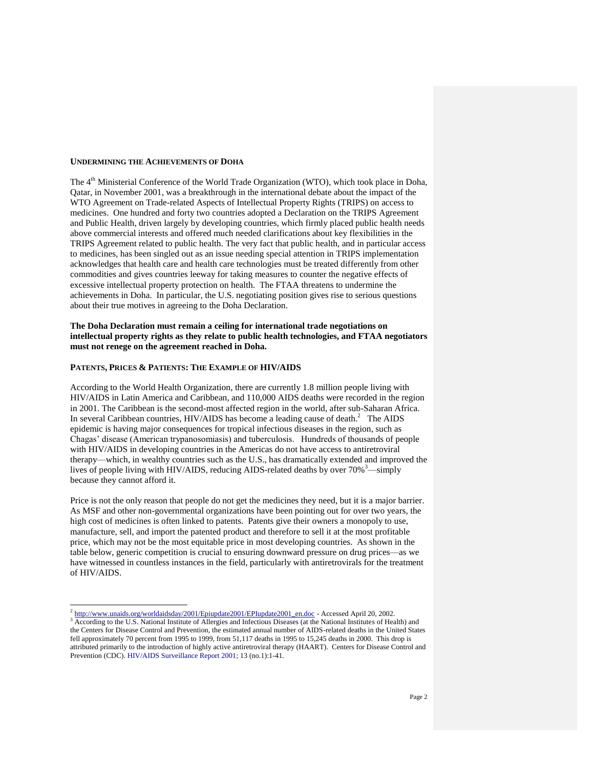#### **UNDERMINING THE ACHIEVEMENTS OF DOHA**

The 4<sup>th</sup> Ministerial Conference of the World Trade Organization (WTO), which took place in Doha, Qatar, in November 2001, was a breakthrough in the international debate about the impact of the WTO Agreement on Trade-related Aspects of Intellectual Property Rights (TRIPS) on access to medicines. One hundred and forty two countries adopted a Declaration on the TRIPS Agreement and Public Health, driven largely by developing countries, which firmly placed public health needs above commercial interests and offered much needed clarifications about key flexibilities in the TRIPS Agreement related to public health. The very fact that public health, and in particular access to medicines, has been singled out as an issue needing special attention in TRIPS implementation acknowledges that health care and health care technologies must be treated differently from other commodities and gives countries leeway for taking measures to counter the negative effects of excessive intellectual property protection on health. The FTAA threatens to undermine the achievements in Doha. In particular, the U.S. negotiating position gives rise to serious questions about their true motives in agreeing to the Doha Declaration.

# **The Doha Declaration must remain a ceiling for international trade negotiations on intellectual property rights as they relate to public health technologies, and FTAA negotiators must not renege on the agreement reached in Doha.**

#### **PATENTS, PRICES & PATIENTS: THE EXAMPLE OF HIV/AIDS**

l

According to the World Health Organization, there are currently 1.8 million people living with HIV/AIDS in Latin America and Caribbean, and 110,000 AIDS deaths were recorded in the region in 2001. The Caribbean is the second-most affected region in the world, after sub-Saharan Africa. In several Caribbean countries, HIV/AIDS has become a leading cause of death.<sup>2</sup> The AIDS epidemic is having major consequences for tropical infectious diseases in the region, such as Chagas' disease (American trypanosomiasis) and tuberculosis. Hundreds of thousands of people with HIV/AIDS in developing countries in the Americas do not have access to antiretroviral therapy—which, in wealthy countries such as the U.S., has dramatically extended and improved the lives of people living with HIV/AIDS, reducing AIDS-related deaths by over  $70\%$ <sup>3</sup>—simply because they cannot afford it.

Price is not the only reason that people do not get the medicines they need, but it is a major barrier. As MSF and other non-governmental organizations have been pointing out for over two years, the high cost of medicines is often linked to patents. Patents give their owners a monopoly to use, manufacture, sell, and import the patented product and therefore to sell it at the most profitable price, which may not be the most equitable price in most developing countries. As shown in the table below, generic competition is crucial to ensuring downward pressure on drug prices—as we have witnessed in countless instances in the field, particularly with antiretrovirals for the treatment of HIV/AIDS.

<sup>&</sup>lt;sup>2</sup> [http://www.unaids.org/worldaidsday/2001/Epiupdate2001/EPIupdate2001\\_en.doc](http://www.unaids.org/worldaidsday/2001/Epiupdate2001/EPIupdate2001_en.doc) - Accessed April 20, 2002.

<sup>&</sup>lt;sup>3</sup> According to the U.S. National Institute of Allergies and Infectious Diseases (at the National Institutes of Health) and the Centers for Disease Control and Prevention, the estimated annual number of AIDS-related deaths in the United States fell approximately 70 percent from 1995 to 1999, from 51,117 deaths in 1995 to 15,245 deaths in 2000. This drop is attributed primarily to the introduction of highly active antiretroviral therapy (HAART). Centers for Disease Control and Prevention (CDC)[. HIV/AIDS Surveillance Report 2001;](http://www.cdc.gov/hiv/stats/hasr1301.htm) 13 (no.1):1-41.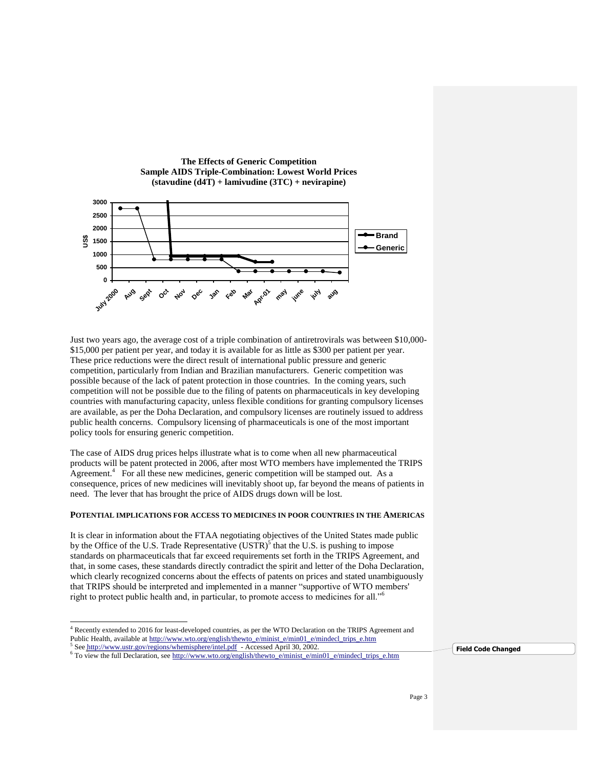

**The Effects of Generic Competition**

Just two years ago, the average cost of a triple combination of antiretrovirals was between \$10,000- \$15,000 per patient per year, and today it is available for as little as \$300 per patient per year. These price reductions were the direct result of international public pressure and generic competition, particularly from Indian and Brazilian manufacturers. Generic competition was possible because of the lack of patent protection in those countries. In the coming years, such competition will not be possible due to the filing of patents on pharmaceuticals in key developing countries with manufacturing capacity, unless flexible conditions for granting compulsory licenses are available, as per the Doha Declaration, and compulsory licenses are routinely issued to address public health concerns. Compulsory licensing of pharmaceuticals is one of the most important policy tools for ensuring generic competition.

The case of AIDS drug prices helps illustrate what is to come when all new pharmaceutical products will be patent protected in 2006, after most WTO members have implemented the TRIPS  $A$ greement.<sup>4</sup> For all these new medicines, generic competition will be stamped out. As a consequence, prices of new medicines will inevitably shoot up, far beyond the means of patients in need. The lever that has brought the price of AIDS drugs down will be lost.

# **POTENTIAL IMPLICATIONS FOR ACCESS TO MEDICINES IN POOR COUNTRIES IN THE AMERICAS**

It is clear in information about the FTAA negotiating objectives of the United States made public by the Office of the U.S. Trade Representative  $(USTR)^{5}$  that the U.S. is pushing to impose standards on pharmaceuticals that far exceed requirements set forth in the TRIPS Agreement, and that, in some cases, these standards directly contradict the spirit and letter of the Doha Declaration, which clearly recognized concerns about the effects of patents on prices and stated unambiguously that TRIPS should be interpreted and implemented in a manner "supportive of WTO members' right to protect public health and, in particular, to promote access to medicines for all."<sup>6</sup>

l

**Field Code Changed**

<sup>4</sup> Recently extended to 2016 for least-developed countries, as per the WTO Declaration on the TRIPS Agreement and Public Health, available at [http://www.wto.org/english/thewto\\_e/minist\\_e/min01\\_e/mindecl\\_trips\\_e.htm](http://www.wto.org/english/thewto_e/minist_e/min01_e/mindecl_trips_e.htm)

<sup>&</sup>lt;sup>5</sup> See <http://www.ustr.gov/regions/whemisphere/intel.pdf>- Accessed April 30, 2002.

<sup>&</sup>lt;sup>6</sup> To view the full Declaration, see [http://www.wto.org/english/thewto\\_e/minist\\_e/min01\\_e/mindecl\\_trips\\_e.htm](http://www.wto.org/english/thewto_e/minist_e/min01_e/mindecl_trips_e.htm)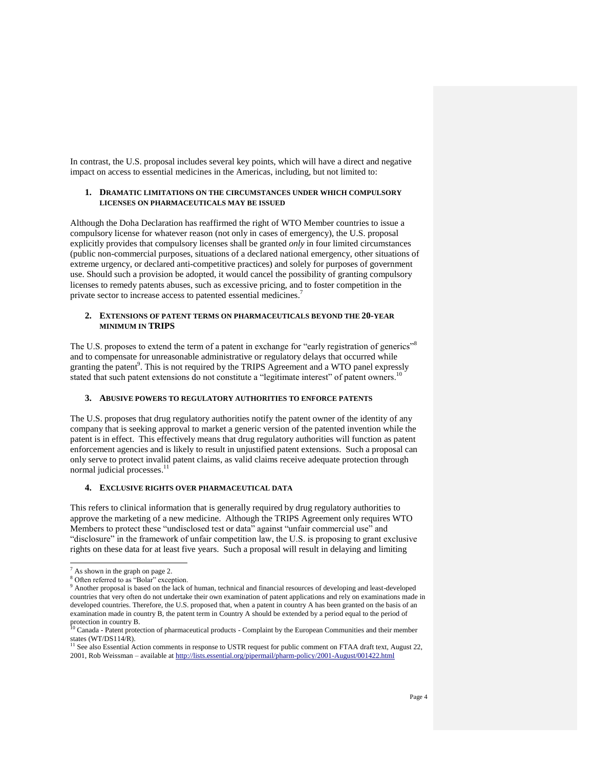In contrast, the U.S. proposal includes several key points, which will have a direct and negative impact on access to essential medicines in the Americas, including, but not limited to:

# **1. DRAMATIC LIMITATIONS ON THE CIRCUMSTANCES UNDER WHICH COMPULSORY LICENSES ON PHARMACEUTICALS MAY BE ISSUED**

Although the Doha Declaration has reaffirmed the right of WTO Member countries to issue a compulsory license for whatever reason (not only in cases of emergency), the U.S. proposal explicitly provides that compulsory licenses shall be granted *only* in four limited circumstances (public non-commercial purposes, situations of a declared national emergency, other situations of extreme urgency, or declared anti-competitive practices) and solely for purposes of government use. Should such a provision be adopted, it would cancel the possibility of granting compulsory licenses to remedy patents abuses, such as excessive pricing, and to foster competition in the private sector to increase access to patented essential medicines.<sup>7</sup>

# **2. EXTENSIONS OF PATENT TERMS ON PHARMACEUTICALS BEYOND THE 20-YEAR MINIMUM IN TRIPS**

The U.S. proposes to extend the term of a patent in exchange for "early registration of generics"<sup>8</sup> and to compensate for unreasonable administrative or regulatory delays that occurred while granting the patent $\theta$ . This is not required by the TRIPS Agreement and a WTO panel expressly stated that such patent extensions do not constitute a "legitimate interest" of patent owners.<sup>10</sup>

# **3. ABUSIVE POWERS TO REGULATORY AUTHORITIES TO ENFORCE PATENTS**

The U.S. proposes that drug regulatory authorities notify the patent owner of the identity of any company that is seeking approval to market a generic version of the patented invention while the patent is in effect. This effectively means that drug regulatory authorities will function as patent enforcement agencies and is likely to result in unjustified patent extensions. Such a proposal can only serve to protect invalid patent claims, as valid claims receive adequate protection through normal judicial processes.<sup>11</sup>

# **4. EXCLUSIVE RIGHTS OVER PHARMACEUTICAL DATA**

This refers to clinical information that is generally required by drug regulatory authorities to approve the marketing of a new medicine. Although the TRIPS Agreement only requires WTO Members to protect these "undisclosed test or data" against "unfair commercial use" and "disclosure" in the framework of unfair competition law, the U.S. is proposing to grant exclusive rights on these data for at least five years. Such a proposal will result in delaying and limiting

l  $<sup>7</sup>$  As shown in the graph on page 2.</sup>

<sup>8</sup> Often referred to as "Bolar" exception.

<sup>&</sup>lt;sup>9</sup> Another proposal is based on the lack of human, technical and financial resources of developing and least-developed countries that very often do not undertake their own examination of patent applications and rely on examinations made in developed countries. Therefore, the U.S. proposed that, when a patent in country A has been granted on the basis of an examination made in country B, the patent term in Country A should be extended by a period equal to the period of protection in country B.<br><sup>10</sup> Canada - Patent protection of pharmaceutical products - Complaint by the European Communities and their member

states (WT/DS114/R).<br><sup>11</sup> See also Essential Action comments in response to USTR request for public comment on FTAA draft text, August 22, 2001, Rob Weissman – available a[t http://lists.essential.org/pipermail/pharm-policy/2001-August/001422.html](http://lists.essential.org/pipermail/pharm-policy/2001-August/001422.html)